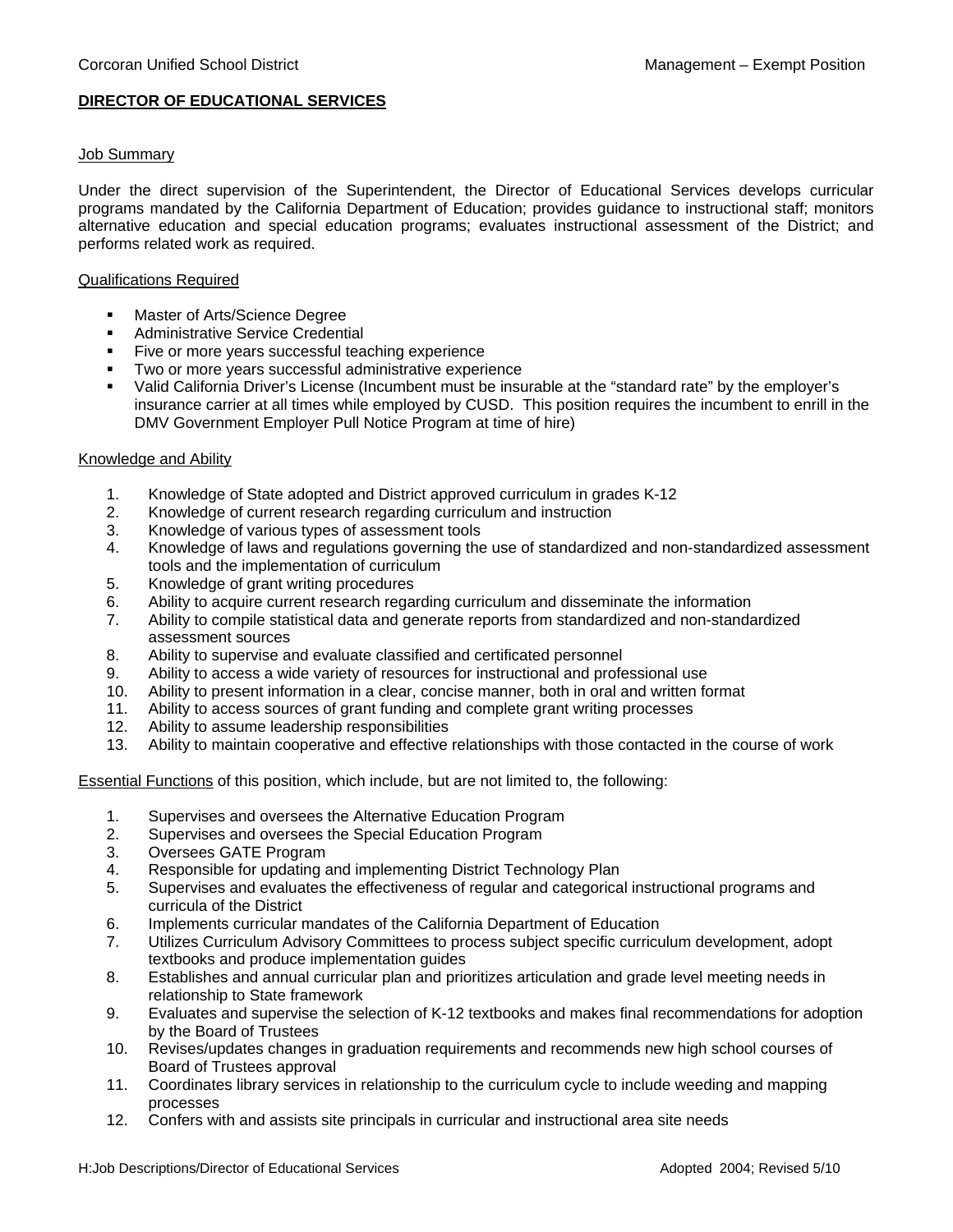## **DIRECTOR OF EDUCATIONAL SERVICES**

## Job Summary

Under the direct supervision of the Superintendent, the Director of Educational Services develops curricular programs mandated by the California Department of Education; provides guidance to instructional staff; monitors alternative education and special education programs; evaluates instructional assessment of the District; and performs related work as required.

## Qualifications Required

- **Master of Arts/Science Degree**
- Administrative Service Credential
- Five or more years successful teaching experience
- Two or more years successful administrative experience
- Valid California Driver's License (Incumbent must be insurable at the "standard rate" by the employer's insurance carrier at all times while employed by CUSD. This position requires the incumbent to enrill in the DMV Government Employer Pull Notice Program at time of hire)

#### Knowledge and Ability

- 1. Knowledge of State adopted and District approved curriculum in grades K-12
- 2. Knowledge of current research regarding curriculum and instruction
- 3. Knowledge of various types of assessment tools
- 4. Knowledge of laws and regulations governing the use of standardized and non-standardized assessment tools and the implementation of curriculum
- 5. Knowledge of grant writing procedures
- 6. Ability to acquire current research regarding curriculum and disseminate the information
- 7. Ability to compile statistical data and generate reports from standardized and non-standardized assessment sources
- 8. Ability to supervise and evaluate classified and certificated personnel
- 9. Ability to access a wide variety of resources for instructional and professional use
- 10. Ability to present information in a clear, concise manner, both in oral and written format
- 11. Ability to access sources of grant funding and complete grant writing processes
- 12. Ability to assume leadership responsibilities
- 13. Ability to maintain cooperative and effective relationships with those contacted in the course of work

Essential Functions of this position, which include, but are not limited to, the following:

- 1. Supervises and oversees the Alternative Education Program
- 2. Supervises and oversees the Special Education Program
- 3. Oversees GATE Program
- 4. Responsible for updating and implementing District Technology Plan
- 5. Supervises and evaluates the effectiveness of regular and categorical instructional programs and curricula of the District
- 6. Implements curricular mandates of the California Department of Education
- 7. Utilizes Curriculum Advisory Committees to process subject specific curriculum development, adopt textbooks and produce implementation guides
- 8. Establishes and annual curricular plan and prioritizes articulation and grade level meeting needs in relationship to State framework
- 9. Evaluates and supervise the selection of K-12 textbooks and makes final recommendations for adoption by the Board of Trustees
- 10. Revises/updates changes in graduation requirements and recommends new high school courses of Board of Trustees approval
- 11. Coordinates library services in relationship to the curriculum cycle to include weeding and mapping processes
- 12. Confers with and assists site principals in curricular and instructional area site needs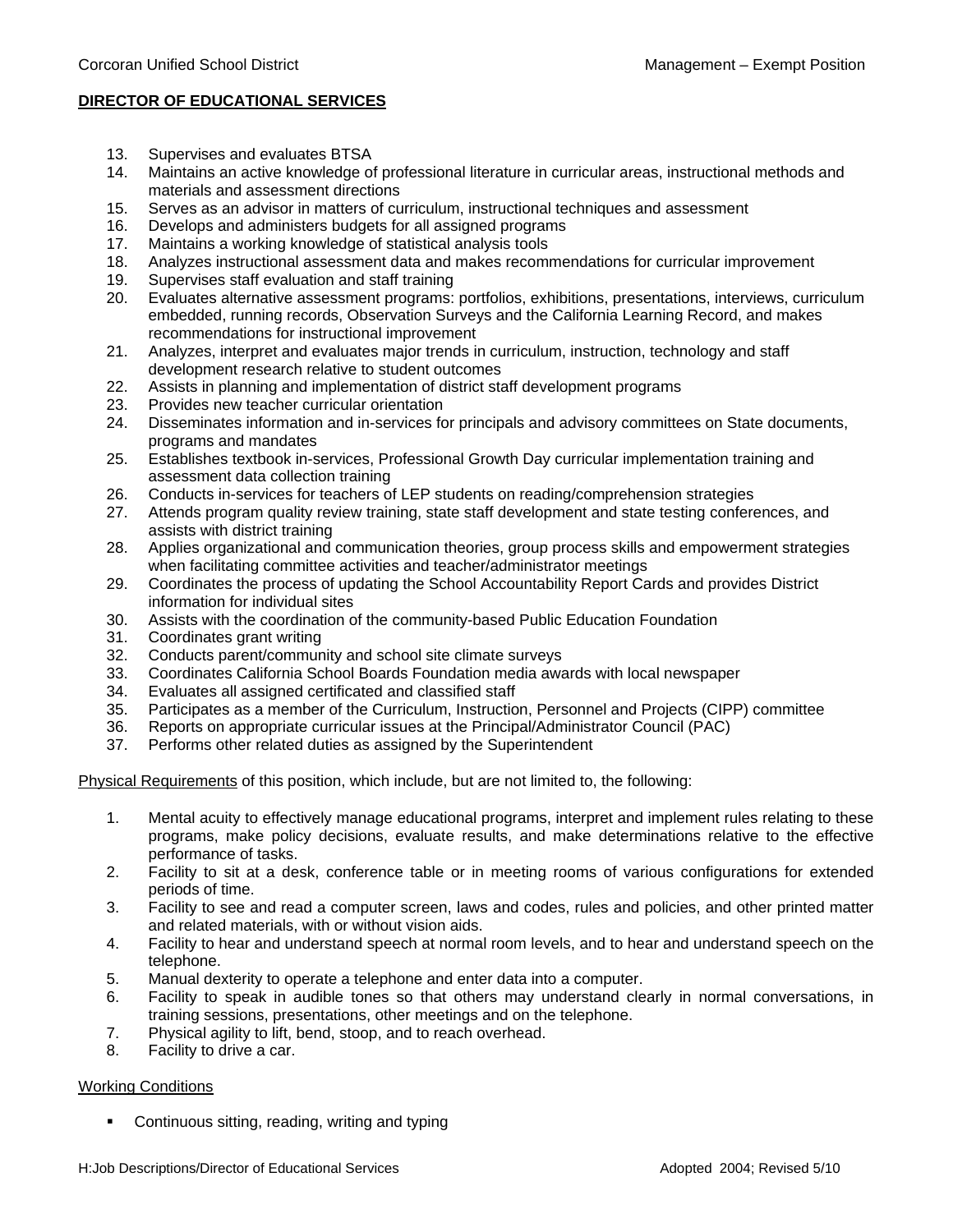# **DIRECTOR OF EDUCATIONAL SERVICES**

- 13. Supervises and evaluates BTSA<br>14. Maintains an active knowledge of
- 14. Maintains an active knowledge of professional literature in curricular areas, instructional methods and materials and assessment directions
- 15. Serves as an advisor in matters of curriculum, instructional techniques and assessment
- 16. Develops and administers budgets for all assigned programs<br>17. Maintains a working knowledge of statistical analysis tools
- Maintains a working knowledge of statistical analysis tools
- 18. Analyzes instructional assessment data and makes recommendations for curricular improvement
- 19. Supervises staff evaluation and staff training
- 20. Evaluates alternative assessment programs: portfolios, exhibitions, presentations, interviews, curriculum embedded, running records, Observation Surveys and the California Learning Record, and makes recommendations for instructional improvement
- 21. Analyzes, interpret and evaluates major trends in curriculum, instruction, technology and staff development research relative to student outcomes
- 22. Assists in planning and implementation of district staff development programs
- 23. Provides new teacher curricular orientation
- 24. Disseminates information and in-services for principals and advisory committees on State documents, programs and mandates
- 25. Establishes textbook in-services, Professional Growth Day curricular implementation training and assessment data collection training
- 26. Conducts in-services for teachers of LEP students on reading/comprehension strategies
- 27. Attends program quality review training, state staff development and state testing conferences, and assists with district training
- 28. Applies organizational and communication theories, group process skills and empowerment strategies when facilitating committee activities and teacher/administrator meetings
- 29. Coordinates the process of updating the School Accountability Report Cards and provides District information for individual sites
- 30. Assists with the coordination of the community-based Public Education Foundation
- 31. Coordinates grant writing
- 32. Conducts parent/community and school site climate surveys
- 33. Coordinates California School Boards Foundation media awards with local newspaper
- 34. Evaluates all assigned certificated and classified staff
- 35. Participates as a member of the Curriculum, Instruction, Personnel and Projects (CIPP) committee
- 36. Reports on appropriate curricular issues at the Principal/Administrator Council (PAC)
- 37. Performs other related duties as assigned by the Superintendent

Physical Requirements of this position, which include, but are not limited to, the following:

- 1. Mental acuity to effectively manage educational programs, interpret and implement rules relating to these programs, make policy decisions, evaluate results, and make determinations relative to the effective performance of tasks.
- 2. Facility to sit at a desk, conference table or in meeting rooms of various configurations for extended periods of time.
- 3. Facility to see and read a computer screen, laws and codes, rules and policies, and other printed matter and related materials, with or without vision aids.
- 4. Facility to hear and understand speech at normal room levels, and to hear and understand speech on the telephone.
- 5. Manual dexterity to operate a telephone and enter data into a computer.
- 6. Facility to speak in audible tones so that others may understand clearly in normal conversations, in training sessions, presentations, other meetings and on the telephone.
- 7. Physical agility to lift, bend, stoop, and to reach overhead.
- 8. Facility to drive a car.

# Working Conditions

**•** Continuous sitting, reading, writing and typing